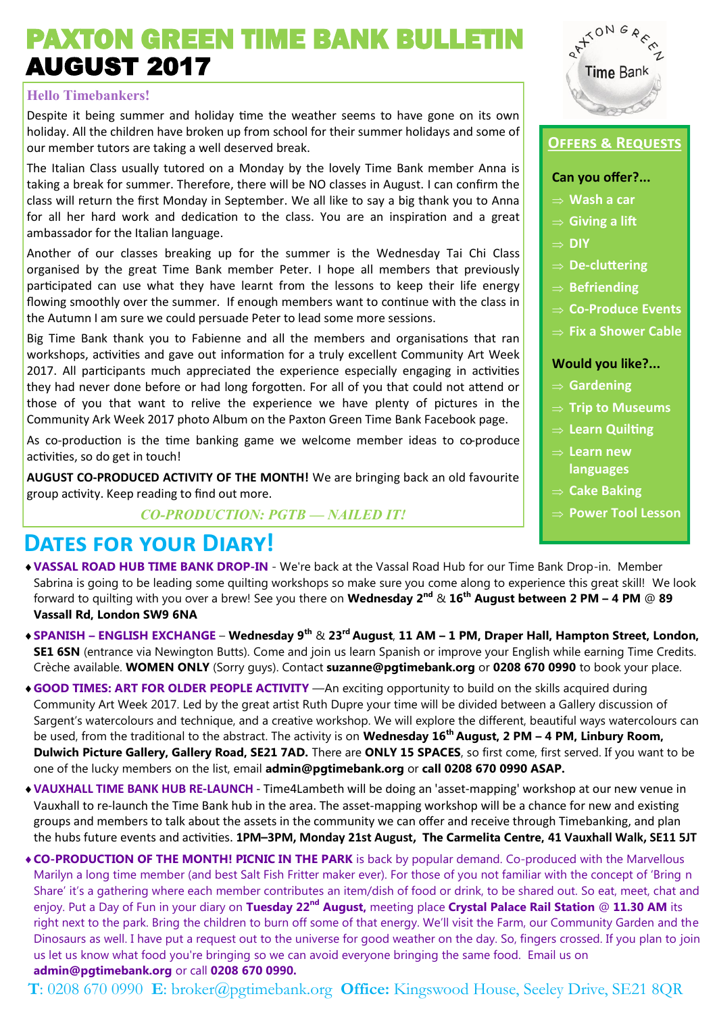# PAXTON GREEN TIME BANK BULLETIN AUGUST 2017

### **Hello Timebankers!**

Despite it being summer and holiday time the weather seems to have gone on its own holiday. All the children have broken up from school for their summer holidays and some of our member tutors are taking a well deserved break.

The Italian Class usually tutored on a Monday by the lovely Time Bank member Anna is taking a break for summer. Therefore, there will be NO classes in August. I can confirm the class will return the first Monday in September. We all like to say a big thank you to Anna for all her hard work and dedication to the class. You are an inspiration and a great ambassador for the Italian language.

Another of our classes breaking up for the summer is the Wednesday Tai Chi Class organised by the great Time Bank member Peter. I hope all members that previously participated can use what they have learnt from the lessons to keep their life energy flowing smoothly over the summer. If enough members want to continue with the class in the Autumn I am sure we could persuade Peter to lead some more sessions.

Big Time Bank thank you to Fabienne and all the members and organisations that ran workshops, activities and gave out information for a truly excellent Community Art Week 2017. All participants much appreciated the experience especially engaging in activities they had never done before or had long forgotten. For all of you that could not attend or those of you that want to relive the experience we have plenty of pictures in the Community Ark Week 2017 photo Album on the Paxton Green Time Bank Facebook page.

As co-production is the time banking game we welcome member ideas to co-produce activities, so do get in touch!

**AUGUST CO-PRODUCED ACTIVITY OF THE MONTH!** We are bringing back an old favourite group activity. Keep reading to find out more.

*CO-PRODUCTION: PGTB — NAILED IT!*

### **Dates for your Diary!**

- **VASSAL ROAD HUB TIME BANK DROP-IN**  We're back at the Vassal Road Hub for our Time Bank Drop-in. Member Sabrina is going to be leading some quilting workshops so make sure you come along to experience this great skill! We look forward to quilting with you over a brew! See you there on **Wednesday 2nd** & **16th August between 2 PM – 4 PM** @ **89 Vassall Rd, London SW9 6NA**
- **SPANISH – ENGLISH EXCHANGE Wednesday 9th** & **23rd August**, **11 AM – 1 PM, Draper Hall, Hampton Street, London, SE1 6SN** (entrance via Newington Butts). Come and join us learn Spanish or improve your English while earning Time Credits. Crèche available. **WOMEN ONLY** (Sorry guys). Contact **[suzanne@pgtimebank.org](mailto:suzanne@pgtimebank.org)** or **0208 670 0990** to book your place.
- **GOOD TIMES: ART FOR OLDER PEOPLE ACTIVITY** —An exciting opportunity to build on the skills acquired during Community Art Week 2017. Led by the great artist Ruth Dupre your time will be divided between a Gallery discussion of Sargent's watercolours and technique, and a creative workshop. We will explore the different, beautiful ways watercolours can be used, from the traditional to the abstract. The activity is on **Wednesday 16th August, 2 PM – 4 PM, Linbury Room, Dulwich Picture Gallery, Gallery Road, SE21 7AD.** There are **ONLY 15 SPACES**, so first come, first served. If you want to be one of the lucky members on the list, email **[admin@pgtimebank.org](mailto:admin@pgtimebank.org)** or **call 0208 670 0990 ASAP.**
- **VAUXHALL TIME BANK HUB RE-LAUNCH**  Time4Lambeth will be doing an 'asset-mapping' workshop at our new venue in Vauxhall to re-launch the Time Bank hub in the area. The asset-mapping workshop will be a chance for new and existing groups and members to talk about the assets in the community we can offer and receive through Timebanking, and plan the hubs future events and activities. **1PM–3PM, Monday 21st August, The Carmelita Centre, 41 Vauxhall Walk, SE11 5JT**
- **CO-PRODUCTION OF THE MONTH! PICNIC IN THE PARK** is back by popular demand. Co-produced with the Marvellous Marilyn a long time member (and best Salt Fish Fritter maker ever). For those of you not familiar with the concept of 'Bring n Share' it's a gathering where each member contributes an item/dish of food or drink, to be shared out. So eat, meet, chat and enjoy. Put a Day of Fun in your diary on **Tuesday 22nd August,** meeting place **Crystal Palace Rail Station** @ **11.30 AM** its right next to the park. Bring the children to burn off some of that energy. We'll visit the Farm, our Community Garden and the Dinosaurs as well. I have put a request out to the universe for good weather on the day. So, fingers crossed. If you plan to join us let us know what food you're bringing so we can avoid everyone bringing the same food. Email us on **[admin@pgtimebank.org](mailto:admin@pgtimebank.org)** or call **0208 670 0990.**

**T**: 0208 670 0990 **E**: broker@pgtimebank.org **Office:** Kingswood House, Seeley Drive, SE21 8QR



### **Offers & Requests**

#### **Can you offer?...**

- **Wash a car**
- **Giving a lift**
- **DIY**
- **De-cluttering**
- **⇒** Befriending
- **Co-Produce Events**
- **Fix a Shower Cable**

#### **Would you like?...**

- **Gardening**
- $\Rightarrow$  Trip to Museums
- **Learn Quilting**
- **Learn new languages**
- **Cake Baking**
- **Power Tool Lesson**